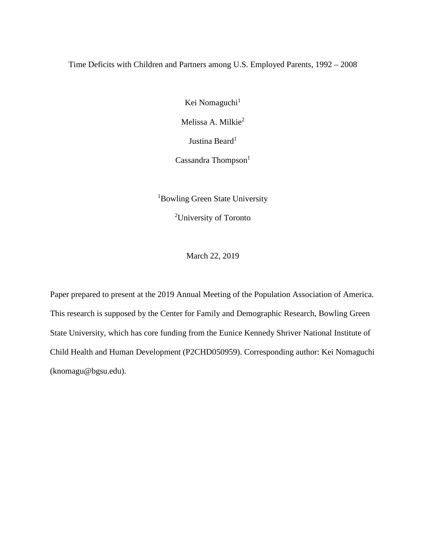# Time Deficits with Children and Partners among U.S. Employed Parents, 1992 – 2008

Kei Nomaguchi<sup>1</sup>

Melissa A. Milkie<sup>2</sup>

Justina Beard<sup>1</sup>

Cassandra Thompson $<sup>1</sup>$ </sup>

<sup>1</sup>Bowling Green State University

<sup>2</sup>University of Toronto

March 22, 2019

Paper prepared to present at the 2019 Annual Meeting of the Population Association of America. This research is supposed by the Center for Family and Demographic Research, Bowling Green State University, which has core funding from the Eunice Kennedy Shriver National Institute of Child Health and Human Development (P2CHD050959). Corresponding author: Kei Nomaguchi (knomagu@bgsu.edu).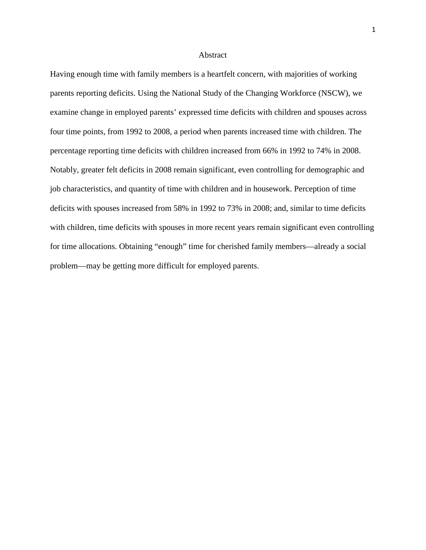## Abstract

Having enough time with family members is a heartfelt concern, with majorities of working parents reporting deficits. Using the National Study of the Changing Workforce (NSCW), we examine change in employed parents' expressed time deficits with children and spouses across four time points, from 1992 to 2008, a period when parents increased time with children. The percentage reporting time deficits with children increased from 66% in 1992 to 74% in 2008. Notably, greater felt deficits in 2008 remain significant, even controlling for demographic and job characteristics, and quantity of time with children and in housework. Perception of time deficits with spouses increased from 58% in 1992 to 73% in 2008; and, similar to time deficits with children, time deficits with spouses in more recent years remain significant even controlling for time allocations. Obtaining "enough" time for cherished family members—already a social problem—may be getting more difficult for employed parents.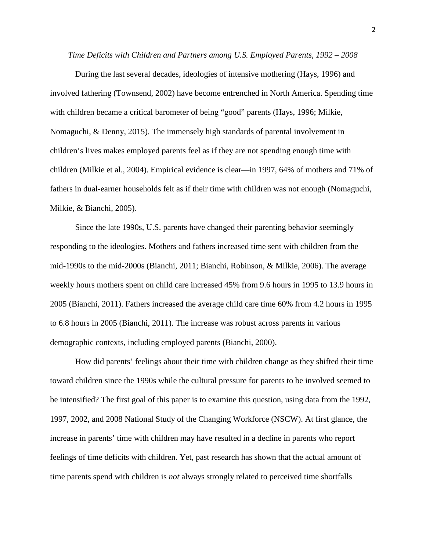*Time Deficits with Children and Partners among U.S. Employed Parents, 1992 – 2008*

During the last several decades, ideologies of intensive mothering (Hays, 1996) and involved fathering (Townsend, 2002) have become entrenched in North America. Spending time with children became a critical barometer of being "good" parents (Hays, 1996; Milkie, Nomaguchi, & Denny, 2015). The immensely high standards of parental involvement in children's lives makes employed parents feel as if they are not spending enough time with children (Milkie et al., 2004). Empirical evidence is clear—in 1997, 64% of mothers and 71% of fathers in dual-earner households felt as if their time with children was not enough (Nomaguchi, Milkie, & Bianchi, 2005).

Since the late 1990s, U.S. parents have changed their parenting behavior seemingly responding to the ideologies. Mothers and fathers increased time sent with children from the mid-1990s to the mid-2000s (Bianchi, 2011; Bianchi, Robinson, & Milkie, 2006). The average weekly hours mothers spent on child care increased 45% from 9.6 hours in 1995 to 13.9 hours in 2005 (Bianchi, 2011). Fathers increased the average child care time 60% from 4.2 hours in 1995 to 6.8 hours in 2005 (Bianchi, 2011). The increase was robust across parents in various demographic contexts, including employed parents (Bianchi, 2000).

How did parents' feelings about their time with children change as they shifted their time toward children since the 1990s while the cultural pressure for parents to be involved seemed to be intensified? The first goal of this paper is to examine this question, using data from the 1992, 1997, 2002, and 2008 National Study of the Changing Workforce (NSCW). At first glance, the increase in parents' time with children may have resulted in a decline in parents who report feelings of time deficits with children. Yet, past research has shown that the actual amount of time parents spend with children is *not* always strongly related to perceived time shortfalls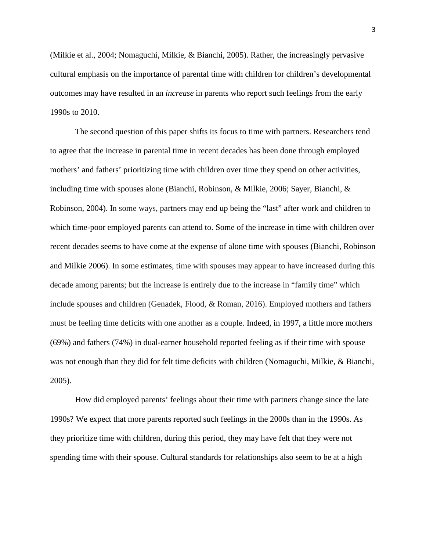(Milkie et al., 2004; Nomaguchi, Milkie, & Bianchi, 2005). Rather, the increasingly pervasive cultural emphasis on the importance of parental time with children for children's developmental outcomes may have resulted in an *increase* in parents who report such feelings from the early 1990s to 2010.

The second question of this paper shifts its focus to time with partners. Researchers tend to agree that the increase in parental time in recent decades has been done through employed mothers' and fathers' prioritizing time with children over time they spend on other activities, including time with spouses alone (Bianchi, Robinson, & Milkie, 2006; Sayer, Bianchi, & Robinson, 2004). In some ways, partners may end up being the "last" after work and children to which time-poor employed parents can attend to. Some of the increase in time with children over recent decades seems to have come at the expense of alone time with spouses (Bianchi, Robinson and Milkie 2006). In some estimates, time with spouses may appear to have increased during this decade among parents; but the increase is entirely due to the increase in "family time" which include spouses and children (Genadek, Flood, & Roman, 2016). Employed mothers and fathers must be feeling time deficits with one another as a couple. Indeed, in 1997, a little more mothers (69%) and fathers (74%) in dual-earner household reported feeling as if their time with spouse was not enough than they did for felt time deficits with children (Nomaguchi, Milkie, & Bianchi, 2005).

How did employed parents' feelings about their time with partners change since the late 1990s? We expect that more parents reported such feelings in the 2000s than in the 1990s. As they prioritize time with children, during this period, they may have felt that they were not spending time with their spouse. Cultural standards for relationships also seem to be at a high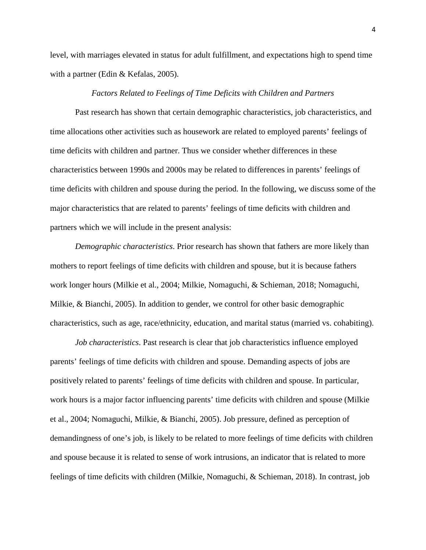level, with marriages elevated in status for adult fulfillment, and expectations high to spend time with a partner (Edin & Kefalas, 2005).

# *Factors Related to Feelings of Time Deficits with Children and Partners*

Past research has shown that certain demographic characteristics, job characteristics, and time allocations other activities such as housework are related to employed parents' feelings of time deficits with children and partner. Thus we consider whether differences in these characteristics between 1990s and 2000s may be related to differences in parents' feelings of time deficits with children and spouse during the period. In the following, we discuss some of the major characteristics that are related to parents' feelings of time deficits with children and partners which we will include in the present analysis:

*Demographic characteristics*. Prior research has shown that fathers are more likely than mothers to report feelings of time deficits with children and spouse, but it is because fathers work longer hours (Milkie et al., 2004; Milkie, Nomaguchi, & Schieman, 2018; Nomaguchi, Milkie, & Bianchi, 2005). In addition to gender, we control for other basic demographic characteristics, such as age, race/ethnicity, education, and marital status (married vs. cohabiting).

*Job characteristics*. Past research is clear that job characteristics influence employed parents' feelings of time deficits with children and spouse. Demanding aspects of jobs are positively related to parents' feelings of time deficits with children and spouse. In particular, work hours is a major factor influencing parents' time deficits with children and spouse (Milkie et al., 2004; Nomaguchi, Milkie, & Bianchi, 2005). Job pressure, defined as perception of demandingness of one's job, is likely to be related to more feelings of time deficits with children and spouse because it is related to sense of work intrusions, an indicator that is related to more feelings of time deficits with children (Milkie, Nomaguchi, & Schieman, 2018). In contrast, job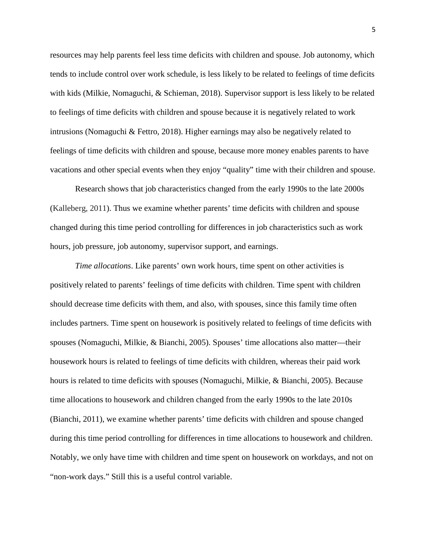resources may help parents feel less time deficits with children and spouse. Job autonomy, which tends to include control over work schedule, is less likely to be related to feelings of time deficits with kids (Milkie, Nomaguchi, & Schieman, 2018). Supervisor support is less likely to be related to feelings of time deficits with children and spouse because it is negatively related to work intrusions (Nomaguchi & Fettro, 2018). Higher earnings may also be negatively related to feelings of time deficits with children and spouse, because more money enables parents to have vacations and other special events when they enjoy "quality" time with their children and spouse.

Research shows that job characteristics changed from the early 1990s to the late 2000s (Kalleberg, 2011). Thus we examine whether parents' time deficits with children and spouse changed during this time period controlling for differences in job characteristics such as work hours, job pressure, job autonomy, supervisor support, and earnings.

*Time allocations*. Like parents' own work hours, time spent on other activities is positively related to parents' feelings of time deficits with children. Time spent with children should decrease time deficits with them, and also, with spouses, since this family time often includes partners. Time spent on housework is positively related to feelings of time deficits with spouses (Nomaguchi, Milkie, & Bianchi, 2005). Spouses' time allocations also matter—their housework hours is related to feelings of time deficits with children, whereas their paid work hours is related to time deficits with spouses (Nomaguchi, Milkie, & Bianchi, 2005). Because time allocations to housework and children changed from the early 1990s to the late 2010s (Bianchi, 2011), we examine whether parents' time deficits with children and spouse changed during this time period controlling for differences in time allocations to housework and children. Notably, we only have time with children and time spent on housework on workdays, and not on "non-work days." Still this is a useful control variable.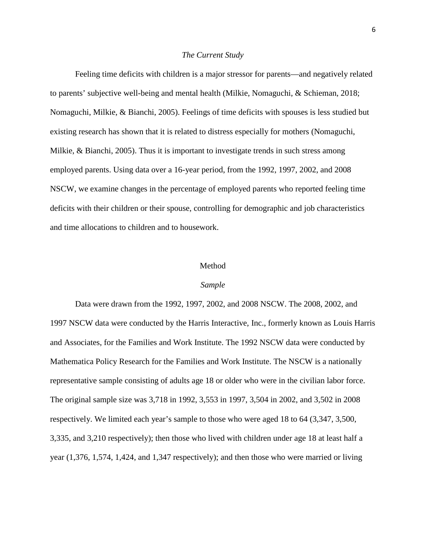# *The Current Study*

Feeling time deficits with children is a major stressor for parents—and negatively related to parents' subjective well-being and mental health (Milkie, Nomaguchi, & Schieman, 2018; Nomaguchi, Milkie, & Bianchi, 2005). Feelings of time deficits with spouses is less studied but existing research has shown that it is related to distress especially for mothers (Nomaguchi, Milkie, & Bianchi, 2005). Thus it is important to investigate trends in such stress among employed parents. Using data over a 16-year period, from the 1992, 1997, 2002, and 2008 NSCW, we examine changes in the percentage of employed parents who reported feeling time deficits with their children or their spouse, controlling for demographic and job characteristics and time allocations to children and to housework.

## Method

### *Sample*

Data were drawn from the 1992, 1997, 2002, and 2008 NSCW. The 2008, 2002, and 1997 NSCW data were conducted by the Harris Interactive, Inc., formerly known as Louis Harris and Associates, for the Families and Work Institute. The 1992 NSCW data were conducted by Mathematica Policy Research for the Families and Work Institute. The NSCW is a nationally representative sample consisting of adults age 18 or older who were in the civilian labor force. The original sample size was 3,718 in 1992, 3,553 in 1997, 3,504 in 2002, and 3,502 in 2008 respectively. We limited each year's sample to those who were aged 18 to 64 (3,347, 3,500, 3,335, and 3,210 respectively); then those who lived with children under age 18 at least half a year (1,376, 1,574, 1,424, and 1,347 respectively); and then those who were married or living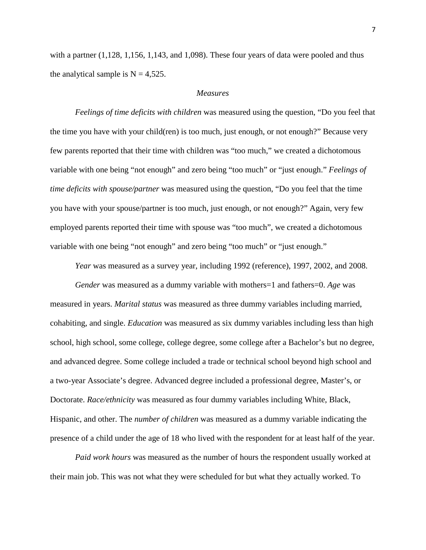with a partner  $(1,128, 1,156, 1,143, \text{ and } 1,098)$ . These four years of data were pooled and thus the analytical sample is  $N = 4,525$ .

# *Measures*

*Feelings of time deficits with children* was measured using the question, "Do you feel that the time you have with your child(ren) is too much, just enough, or not enough?" Because very few parents reported that their time with children was "too much," we created a dichotomous variable with one being "not enough" and zero being "too much" or "just enough." *Feelings of time deficits with spouse/partner* was measured using the question, "Do you feel that the time you have with your spouse/partner is too much, just enough, or not enough?" Again, very few employed parents reported their time with spouse was "too much", we created a dichotomous variable with one being "not enough" and zero being "too much" or "just enough."

*Year* was measured as a survey year, including 1992 (reference), 1997, 2002, and 2008.

*Gender* was measured as a dummy variable with mothers=1 and fathers=0. *Age* was measured in years. *Marital status* was measured as three dummy variables including married, cohabiting, and single. *Education* was measured as six dummy variables including less than high school, high school, some college, college degree, some college after a Bachelor's but no degree, and advanced degree. Some college included a trade or technical school beyond high school and a two-year Associate's degree. Advanced degree included a professional degree, Master's, or Doctorate. *Race/ethnicity* was measured as four dummy variables including White, Black, Hispanic, and other. The *number of children* was measured as a dummy variable indicating the presence of a child under the age of 18 who lived with the respondent for at least half of the year.

*Paid work hours* was measured as the number of hours the respondent usually worked at their main job. This was not what they were scheduled for but what they actually worked. To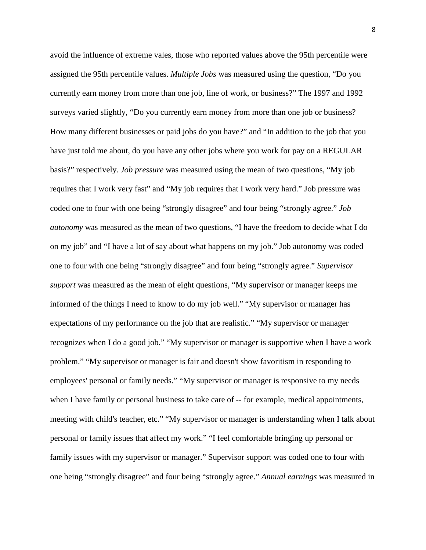avoid the influence of extreme vales, those who reported values above the 95th percentile were assigned the 95th percentile values. *Multiple Jobs* was measured using the question, "Do you currently earn money from more than one job, line of work, or business?" The 1997 and 1992 surveys varied slightly, "Do you currently earn money from more than one job or business? How many different businesses or paid jobs do you have?" and "In addition to the job that you have just told me about, do you have any other jobs where you work for pay on a REGULAR basis?" respectively. *Job pressure* was measured using the mean of two questions, "My job requires that I work very fast" and "My job requires that I work very hard." Job pressure was coded one to four with one being "strongly disagree" and four being "strongly agree." *Job autonomy* was measured as the mean of two questions, "I have the freedom to decide what I do on my job" and "I have a lot of say about what happens on my job." Job autonomy was coded one to four with one being "strongly disagree" and four being "strongly agree." *Supervisor support* was measured as the mean of eight questions, "My supervisor or manager keeps me informed of the things I need to know to do my job well." "My supervisor or manager has expectations of my performance on the job that are realistic." "My supervisor or manager recognizes when I do a good job." "My supervisor or manager is supportive when I have a work problem." "My supervisor or manager is fair and doesn't show favoritism in responding to employees' personal or family needs." "My supervisor or manager is responsive to my needs when I have family or personal business to take care of  $-$ - for example, medical appointments, meeting with child's teacher, etc." "My supervisor or manager is understanding when I talk about personal or family issues that affect my work." "I feel comfortable bringing up personal or family issues with my supervisor or manager." Supervisor support was coded one to four with one being "strongly disagree" and four being "strongly agree." *Annual earnings* was measured in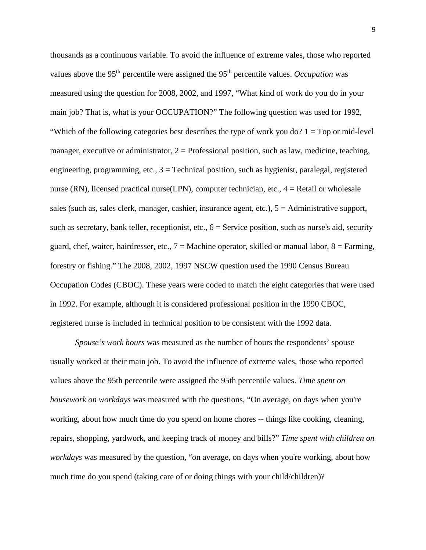thousands as a continuous variable. To avoid the influence of extreme vales, those who reported values above the 95<sup>th</sup> percentile were assigned the 95<sup>th</sup> percentile values. *Occupation* was measured using the question for 2008, 2002, and 1997, "What kind of work do you do in your main job? That is, what is your OCCUPATION?" The following question was used for 1992, "Which of the following categories best describes the type of work you do?  $1 = Top$  or mid-level manager, executive or administrator,  $2 =$  Professional position, such as law, medicine, teaching, engineering, programming, etc.,  $3 =$  Technical position, such as hygienist, paralegal, registered nurse (RN), licensed practical nurse (LPN), computer technician, etc.,  $4 =$  Retail or wholesale sales (such as, sales clerk, manager, cashier, insurance agent, etc.), 5 = Administrative support, such as secretary, bank teller, receptionist, etc.,  $6 =$  Service position, such as nurse's aid, security guard, chef, waiter, hairdresser, etc.,  $7 =$  Machine operator, skilled or manual labor,  $8 =$  Farming, forestry or fishing." The 2008, 2002, 1997 NSCW question used the 1990 Census Bureau Occupation Codes (CBOC). These years were coded to match the eight categories that were used in 1992. For example, although it is considered professional position in the 1990 CBOC, registered nurse is included in technical position to be consistent with the 1992 data.

*Spouse's work hours* was measured as the number of hours the respondents' spouse usually worked at their main job. To avoid the influence of extreme vales, those who reported values above the 95th percentile were assigned the 95th percentile values. *Time spent on housework on workdays* was measured with the questions, "On average, on days when you're working, about how much time do you spend on home chores -- things like cooking, cleaning, repairs, shopping, yardwork, and keeping track of money and bills?" *Time spent with children on workdays* was measured by the question, "on average, on days when you're working, about how much time do you spend (taking care of or doing things with your child/children)?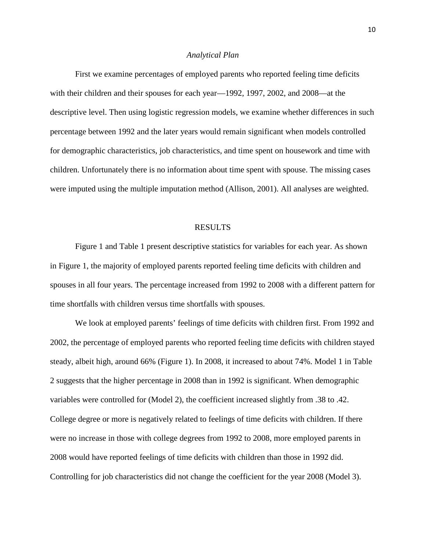### *Analytical Plan*

First we examine percentages of employed parents who reported feeling time deficits with their children and their spouses for each year—1992, 1997, 2002, and 2008—at the descriptive level. Then using logistic regression models, we examine whether differences in such percentage between 1992 and the later years would remain significant when models controlled for demographic characteristics, job characteristics, and time spent on housework and time with children. Unfortunately there is no information about time spent with spouse. The missing cases were imputed using the multiple imputation method (Allison, 2001). All analyses are weighted.

#### RESULTS

Figure 1 and Table 1 present descriptive statistics for variables for each year. As shown in Figure 1, the majority of employed parents reported feeling time deficits with children and spouses in all four years. The percentage increased from 1992 to 2008 with a different pattern for time shortfalls with children versus time shortfalls with spouses.

We look at employed parents' feelings of time deficits with children first. From 1992 and 2002, the percentage of employed parents who reported feeling time deficits with children stayed steady, albeit high, around 66% (Figure 1). In 2008, it increased to about 74%. Model 1 in Table 2 suggests that the higher percentage in 2008 than in 1992 is significant. When demographic variables were controlled for (Model 2), the coefficient increased slightly from .38 to .42. College degree or more is negatively related to feelings of time deficits with children. If there were no increase in those with college degrees from 1992 to 2008, more employed parents in 2008 would have reported feelings of time deficits with children than those in 1992 did. Controlling for job characteristics did not change the coefficient for the year 2008 (Model 3).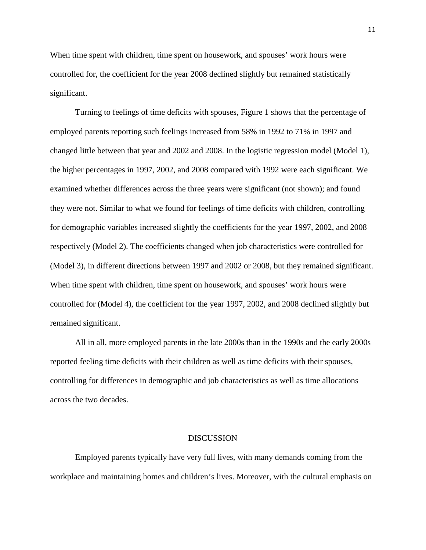When time spent with children, time spent on housework, and spouses' work hours were controlled for, the coefficient for the year 2008 declined slightly but remained statistically significant.

Turning to feelings of time deficits with spouses, Figure 1 shows that the percentage of employed parents reporting such feelings increased from 58% in 1992 to 71% in 1997 and changed little between that year and 2002 and 2008. In the logistic regression model (Model 1), the higher percentages in 1997, 2002, and 2008 compared with 1992 were each significant. We examined whether differences across the three years were significant (not shown); and found they were not. Similar to what we found for feelings of time deficits with children, controlling for demographic variables increased slightly the coefficients for the year 1997, 2002, and 2008 respectively (Model 2). The coefficients changed when job characteristics were controlled for (Model 3), in different directions between 1997 and 2002 or 2008, but they remained significant. When time spent with children, time spent on housework, and spouses' work hours were controlled for (Model 4), the coefficient for the year 1997, 2002, and 2008 declined slightly but remained significant.

All in all, more employed parents in the late 2000s than in the 1990s and the early 2000s reported feeling time deficits with their children as well as time deficits with their spouses, controlling for differences in demographic and job characteristics as well as time allocations across the two decades.

### DISCUSSION

Employed parents typically have very full lives, with many demands coming from the workplace and maintaining homes and children's lives. Moreover, with the cultural emphasis on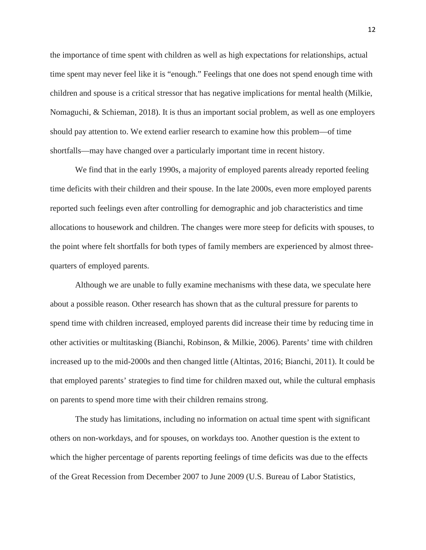the importance of time spent with children as well as high expectations for relationships, actual time spent may never feel like it is "enough." Feelings that one does not spend enough time with children and spouse is a critical stressor that has negative implications for mental health (Milkie, Nomaguchi, & Schieman, 2018). It is thus an important social problem, as well as one employers should pay attention to. We extend earlier research to examine how this problem—of time shortfalls—may have changed over a particularly important time in recent history.

We find that in the early 1990s, a majority of employed parents already reported feeling time deficits with their children and their spouse. In the late 2000s, even more employed parents reported such feelings even after controlling for demographic and job characteristics and time allocations to housework and children. The changes were more steep for deficits with spouses, to the point where felt shortfalls for both types of family members are experienced by almost threequarters of employed parents.

Although we are unable to fully examine mechanisms with these data, we speculate here about a possible reason. Other research has shown that as the cultural pressure for parents to spend time with children increased, employed parents did increase their time by reducing time in other activities or multitasking (Bianchi, Robinson, & Milkie, 2006). Parents' time with children increased up to the mid-2000s and then changed little (Altintas, 2016; Bianchi, 2011). It could be that employed parents' strategies to find time for children maxed out, while the cultural emphasis on parents to spend more time with their children remains strong.

The study has limitations, including no information on actual time spent with significant others on non-workdays, and for spouses, on workdays too. Another question is the extent to which the higher percentage of parents reporting feelings of time deficits was due to the effects of the Great Recession from December 2007 to June 2009 (U.S. Bureau of Labor Statistics,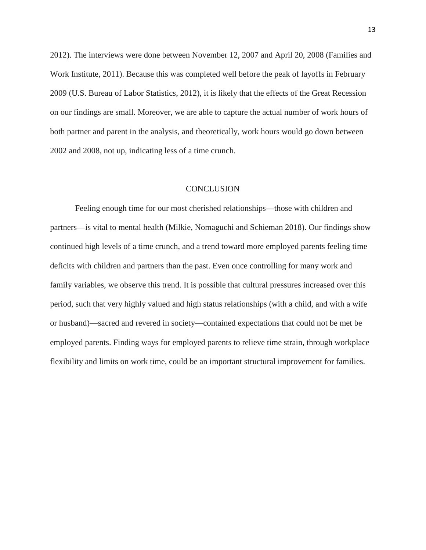2012). The interviews were done between November 12, 2007 and April 20, 2008 (Families and Work Institute, 2011). Because this was completed well before the peak of layoffs in February 2009 (U.S. Bureau of Labor Statistics, 2012), it is likely that the effects of the Great Recession on our findings are small. Moreover, we are able to capture the actual number of work hours of both partner and parent in the analysis, and theoretically, work hours would go down between 2002 and 2008, not up, indicating less of a time crunch.

### **CONCLUSION**

Feeling enough time for our most cherished relationships—those with children and partners—is vital to mental health (Milkie, Nomaguchi and Schieman 2018). Our findings show continued high levels of a time crunch, and a trend toward more employed parents feeling time deficits with children and partners than the past. Even once controlling for many work and family variables, we observe this trend. It is possible that cultural pressures increased over this period, such that very highly valued and high status relationships (with a child, and with a wife or husband)—sacred and revered in society—contained expectations that could not be met be employed parents. Finding ways for employed parents to relieve time strain, through workplace flexibility and limits on work time, could be an important structural improvement for families.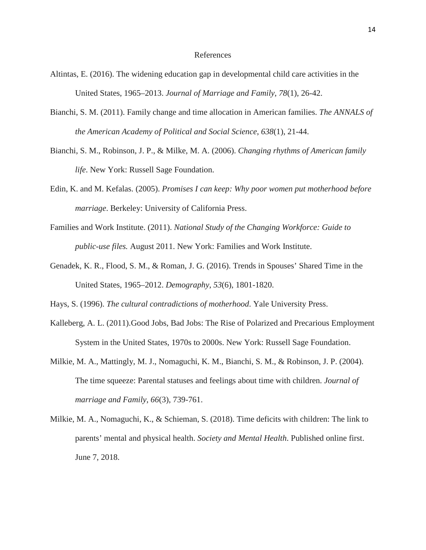## References

- Altintas, E. (2016). The widening education gap in developmental child care activities in the United States, 1965–2013. *Journal of Marriage and Family*, *78*(1), 26-42.
- Bianchi, S. M. (2011). Family change and time allocation in American families. *The ANNALS of the American Academy of Political and Social Science*, *638*(1), 21-44.
- Bianchi, S. M., Robinson, J. P., & Milke, M. A. (2006). *Changing rhythms of American family life*. New York: Russell Sage Foundation.
- Edin, K. and M. Kefalas. (2005). *Promises I can keep: Why poor women put motherhood before marriage*. Berkeley: University of California Press.
- Families and Work Institute. (2011). *National Study of the Changing Workforce: Guide to public-use files.* August 2011. New York: Families and Work Institute.
- Genadek, K. R., Flood, S. M., & Roman, J. G. (2016). Trends in Spouses' Shared Time in the United States, 1965–2012. *Demography*, *53*(6), 1801-1820.

Hays, S. (1996). *The cultural contradictions of motherhood*. Yale University Press.

- Kalleberg, A. L. (2011).Good Jobs, Bad Jobs: The Rise of Polarized and Precarious Employment System in the United States, 1970s to 2000s. New York: Russell Sage Foundation.
- Milkie, M. A., Mattingly, M. J., Nomaguchi, K. M., Bianchi, S. M., & Robinson, J. P. (2004). The time squeeze: Parental statuses and feelings about time with children. *Journal of marriage and Family*, *66*(3), 739-761.
- Milkie, M. A., Nomaguchi, K., & Schieman, S. (2018). Time deficits with children: The link to parents' mental and physical health. *Society and Mental Health*. Published online first. June 7, 2018.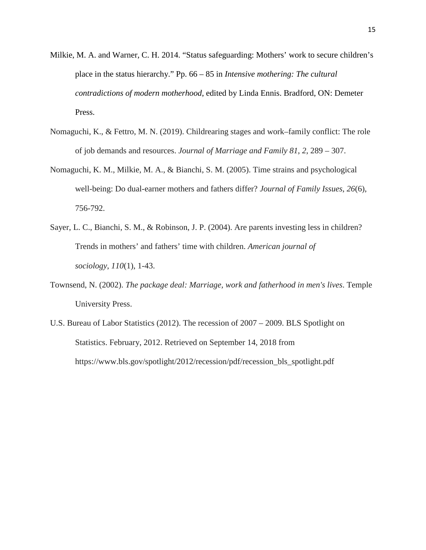- Milkie, M. A. and Warner, C. H. 2014. "Status safeguarding: Mothers' work to secure children's place in the status hierarchy." Pp. 66 – 85 in *Intensive mothering: The cultural contradictions of modern motherhood*, edited by Linda Ennis. Bradford, ON: Demeter Press.
- Nomaguchi, K., & Fettro, M. N. (2019). Childrearing stages and work–family conflict: The role of job demands and resources. *Journal of Marriage and Family 81*, *2*, 289 – 307.
- Nomaguchi, K. M., Milkie, M. A., & Bianchi, S. M. (2005). Time strains and psychological well-being: Do dual-earner mothers and fathers differ? *Journal of Family Issues*, *26*(6), 756-792.
- Sayer, L. C., Bianchi, S. M., & Robinson, J. P. (2004). Are parents investing less in children? Trends in mothers' and fathers' time with children. *American journal of sociology*, *110*(1), 1-43.
- Townsend, N. (2002). *The package deal: Marriage, work and fatherhood in men's lives*. Temple University Press.
- U.S. Bureau of Labor Statistics (2012). The recession of 2007 2009. BLS Spotlight on Statistics. February, 2012. Retrieved on September 14, 2018 from https://www.bls.gov/spotlight/2012/recession/pdf/recession\_bls\_spotlight.pdf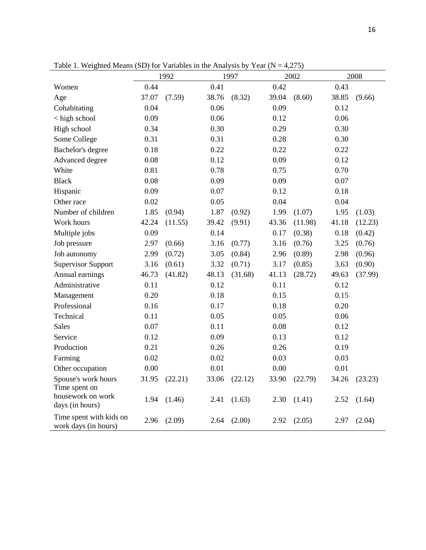|                                                 | 1992  |         |       | 1997    |       | 2002    | 2008  |         |  |
|-------------------------------------------------|-------|---------|-------|---------|-------|---------|-------|---------|--|
| Women                                           | 0.44  |         | 0.41  |         | 0.42  |         | 0.43  |         |  |
| Age                                             | 37.07 | (7.59)  | 38.76 | (8.32)  | 39.04 | (8.60)  | 38.85 | (9.66)  |  |
| Cohabitating                                    | 0.04  |         | 0.06  |         | 0.09  |         | 0.12  |         |  |
| < high school                                   | 0.09  |         | 0.06  |         | 0.12  |         | 0.06  |         |  |
| High school                                     | 0.34  |         | 0.30  |         | 0.29  |         | 0.30  |         |  |
| Some College                                    | 0.31  |         | 0.31  |         | 0.28  |         | 0.30  |         |  |
| Bachelor's degree                               | 0.18  |         | 0.22  |         | 0.22  |         | 0.22  |         |  |
| Advanced degree                                 | 0.08  |         | 0.12  |         | 0.09  |         | 0.12  |         |  |
| White                                           | 0.81  |         | 0.78  |         | 0.75  |         | 0.70  |         |  |
| <b>Black</b>                                    | 0.08  |         | 0.09  |         | 0.09  |         | 0.07  |         |  |
| Hispanic                                        | 0.09  |         | 0.07  |         | 0.12  |         | 0.18  |         |  |
| Other race                                      | 0.02  |         | 0.05  |         | 0.04  |         | 0.04  |         |  |
| Number of children                              | 1.85  | (0.94)  | 1.87  | (0.92)  | 1.99  | (1.07)  | 1.95  | (1.03)  |  |
| Work hours                                      | 42.24 | (11.55) | 39.42 | (9.91)  | 43.36 | (11.98) | 41.18 | (12.23) |  |
| Multiple jobs                                   | 0.09  |         | 0.14  |         | 0.17  | (0.38)  | 0.18  | (0.42)  |  |
| Job pressure                                    | 2.97  | (0.66)  | 3.16  | (0.77)  | 3.16  | (0.76)  | 3.25  | (0.76)  |  |
| Job autonomy                                    | 2.99  | (0.72)  | 3.05  | (0.84)  | 2.96  | (0.89)  | 2.98  | (0.96)  |  |
| <b>Supervisor Support</b>                       | 3.16  | (0.61)  | 3.32  | (0.71)  | 3.17  | (0.85)  | 3.63  | (0.90)  |  |
| Annual earnings                                 | 46.73 | (41.82) | 48.13 | (31.68) | 41.13 | (28.72) | 49.63 | (37.99) |  |
| Administrative                                  | 0.11  |         | 0.12  |         | 0.11  |         | 0.12  |         |  |
| Management                                      | 0.20  |         | 0.18  |         | 0.15  |         | 0.15  |         |  |
| Professional                                    | 0.16  |         | 0.17  |         | 0.18  |         | 0.20  |         |  |
| Technical                                       | 0.11  |         | 0.05  |         | 0.05  |         | 0.06  |         |  |
| <b>Sales</b>                                    | 0.07  |         | 0.11  |         | 0.08  |         | 0.12  |         |  |
| Service                                         | 0.12  |         | 0.09  |         | 0.13  |         | 0.12  |         |  |
| Production                                      | 0.21  |         | 0.26  |         | 0.26  |         | 0.19  |         |  |
| Farming                                         | 0.02  |         | 0.02  |         | 0.03  |         | 0.03  |         |  |
| Other occupation                                | 0.00  |         | 0.01  |         | 0.00  |         | 0.01  |         |  |
| Spouse's work hours<br>Time spent on            | 31.95 | (22.21) | 33.06 | (22.12) | 33.90 | (22.79) | 34.26 | (23.23) |  |
| housework on work<br>days (in hours)            | 1.94  | (1.46)  | 2.41  | (1.63)  | 2.30  | (1.41)  | 2.52  | (1.64)  |  |
| Time spent with kids on<br>work days (in hours) | 2.96  | (2.09)  | 2.64  | (2.00)  | 2.92  | (2.05)  | 2.97  | (2.04)  |  |

Table 1. Weighted Means (SD) for Variables in the Analysis by Year ( $N = 4,275$ )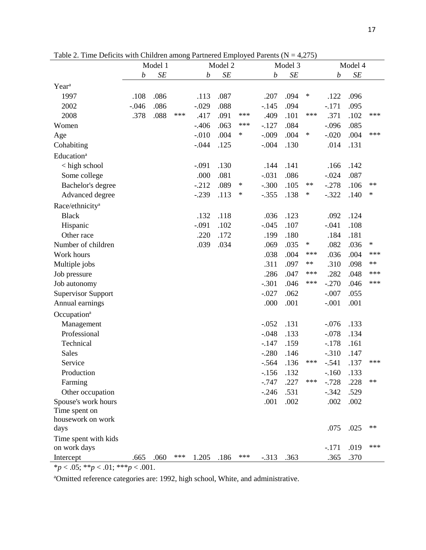|                                   | Model 1                |      |                        | Model 2 |                               |        | Model 3  |                               |            | Model 4 |      |            |
|-----------------------------------|------------------------|------|------------------------|---------|-------------------------------|--------|----------|-------------------------------|------------|---------|------|------------|
|                                   | SE<br>$\boldsymbol{b}$ |      | SE<br>$\boldsymbol{b}$ |         | $\cal SE$<br>$\boldsymbol{b}$ |        |          | $\cal SE$<br>$\boldsymbol{b}$ |            |         |      |            |
| Year <sup>a</sup>                 |                        |      |                        |         |                               |        |          |                               |            |         |      |            |
| 1997                              | .108                   | .086 |                        | .113    | .087                          |        | .207     | .094                          | $\ast$     | .122    | .096 |            |
| 2002                              | $-.046$                | .086 |                        | $-.029$ | .088                          |        | $-.145$  | .094                          |            | $-.171$ | .095 |            |
| 2008                              | .378                   | .088 | ***                    | .417    | .091                          | ***    | .409     | .101                          | ***        | .371    | .102 | ***        |
| Women                             |                        |      |                        | $-406$  | .063                          | ***    | $-127$   | .084                          |            | $-.096$ | .085 |            |
| Age                               |                        |      |                        | $-.010$ | .004                          | ∗      | $-.009$  | .004                          | $\ast$     | $-.020$ | .004 | ***        |
| Cohabiting                        |                        |      |                        | $-.044$ | .125                          |        | $-.004$  | .130                          |            | .014    | .131 |            |
| Education <sup>a</sup>            |                        |      |                        |         |                               |        |          |                               |            |         |      |            |
| < high school                     |                        |      |                        | $-.091$ | .130                          |        | .144     | .141                          |            | .166    | .142 |            |
| Some college                      |                        |      |                        | .000    | .081                          |        | $-.031$  | .086                          |            | $-.024$ | .087 |            |
| Bachelor's degree                 |                        |      |                        | $-.212$ | .089                          | $\ast$ | $-.300$  | .105                          | $\ast\ast$ | $-.278$ | .106 | $\ast\ast$ |
| Advanced degree                   |                        |      |                        | $-.239$ | .113                          | $\ast$ | $-.355$  | .138                          | ∗          | $-.322$ | .140 | ∗          |
| Race/ethnicity <sup>a</sup>       |                        |      |                        |         |                               |        |          |                               |            |         |      |            |
| <b>Black</b>                      |                        |      |                        | .132    | .118                          |        | .036     | .123                          |            | .092    | .124 |            |
| Hispanic                          |                        |      |                        | $-.091$ | .102                          |        | $-.045$  | .107                          |            | $-.041$ | .108 |            |
| Other race                        |                        |      |                        | .220    | .172                          |        | .199     | .180                          |            | .184    | .181 |            |
| Number of children                |                        |      |                        | .039    | .034                          |        | .069     | .035                          | ∗          | .082    | .036 | $\ast$     |
| Work hours                        |                        |      |                        |         |                               |        | .038     | .004                          | ***        | .036    | .004 | ***        |
| Multiple jobs                     |                        |      |                        |         |                               |        | .311     | .097                          | $\ast\ast$ | .310    | .098 | $**$       |
| Job pressure                      |                        |      |                        |         |                               |        | .286     | .047                          | ***        | .282    | .048 | ***        |
| Job autonomy                      |                        |      |                        |         |                               |        | $-.301$  | .046                          | ***        | $-.270$ | .046 | ***        |
| <b>Supervisor Support</b>         |                        |      |                        |         |                               |        | $-.027$  | .062                          |            | $-.007$ | .055 |            |
| Annual earnings                   |                        |      |                        |         |                               |        | .000     | .001                          |            | $-.001$ | .001 |            |
| Occupation <sup>a</sup>           |                        |      |                        |         |                               |        |          |                               |            |         |      |            |
| Management                        |                        |      |                        |         |                               |        | $-.052$  | .131                          |            | $-.076$ | .133 |            |
| Professional                      |                        |      |                        |         |                               |        | $-.048$  | .133                          |            | $-.078$ | .134 |            |
| Technical                         |                        |      |                        |         |                               |        | $-147$   | .159                          |            | $-.178$ | .161 |            |
| Sales                             |                        |      |                        |         |                               |        | $-.280$  | .146                          |            | $-310$  | .147 |            |
| Service                           |                        |      |                        |         |                               |        | $-.564$  | .136                          | ***        | $-.541$ | .137 | ***        |
| Production                        |                        |      |                        |         |                               |        | $-156$   | .132                          |            | $-.160$ | .133 |            |
| Farming                           |                        |      |                        |         |                               |        | $-0.747$ | .227                          | $***$      | $-.728$ | .228 | $**$       |
| Other occupation                  |                        |      |                        |         |                               |        | $-.246$  | .531                          |            | $-.342$ | .529 |            |
| Spouse's work hours               |                        |      |                        |         |                               |        | .001     | .002                          |            | .002    | .002 |            |
| Time spent on                     |                        |      |                        |         |                               |        |          |                               |            |         |      |            |
| housework on work                 |                        |      |                        |         |                               |        |          |                               |            |         |      |            |
| days                              |                        |      |                        |         |                               |        |          |                               |            | .075    | .025 | $**$       |
| Time spent with kids              |                        |      |                        |         |                               |        |          |                               |            |         |      |            |
| on work days                      |                        |      |                        |         |                               |        |          |                               |            | $-.171$ | .019 | ***        |
| Intercept                         | .665                   | .060 | ***                    | 1.205   | .186                          | ***    | $-313$   | .363                          |            | .365    | .370 |            |
| *p < .05; **p < .01; ***p < .001. |                        |      |                        |         |                               |        |          |                               |            |         |      |            |

Table 2. Time Deficits with Children among Partnered Employed Parents  $(N = 4,275)$ 

aOmitted reference categories are: 1992, high school, White, and administrative.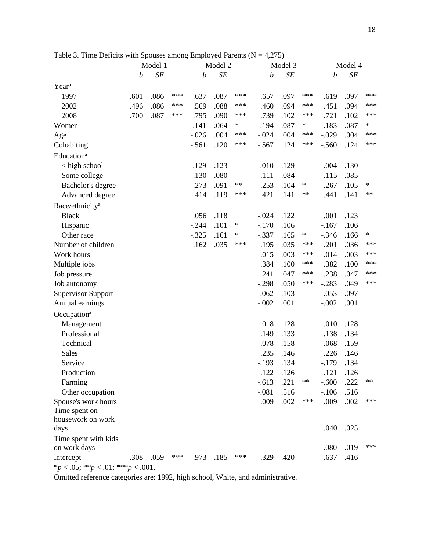|                                   | raore 5. This Benefits while pouses among<br>Model 1 |      |     | $m$ $\mu$ $\sigma$ $\mu$ $\sigma$<br>Model 2 |      |            | ., <i></i> ,<br>Model 3 |      |            | Model 4                |      |        |
|-----------------------------------|------------------------------------------------------|------|-----|----------------------------------------------|------|------------|-------------------------|------|------------|------------------------|------|--------|
|                                   | $\cal SE$<br>$\boldsymbol{b}$                        |      |     | $\cal SE$<br>$\boldsymbol{b}$                |      |            | SE<br>$\boldsymbol{b}$  |      |            | SE<br>$\boldsymbol{b}$ |      |        |
| Year <sup>a</sup>                 |                                                      |      |     |                                              |      |            |                         |      |            |                        |      |        |
| 1997                              | .601                                                 | .086 | *** | .637                                         | .087 | ***        | .657                    | .097 | ***        | .619                   | .097 | ***    |
| 2002                              | .496                                                 | .086 | *** | .569                                         | .088 | ***        | .460                    | .094 | ***        | .451                   | .094 | ***    |
| 2008                              | .700                                                 | .087 | *** | .795                                         | .090 | ***        | .739                    | .102 | ***        | .721                   | .102 | ***    |
| Women                             |                                                      |      |     | $-.141$                                      | .064 | ∗          | $-.194$                 | .087 | ∗          | $-183$                 | .087 | ∗      |
| Age                               |                                                      |      |     | $-.026$                                      | .004 | ***        | $-.024$                 | .004 | ***        | $-.029$                | .004 | ***    |
| Cohabiting                        |                                                      |      |     | $-.561$                                      | .120 | ***        | $-.567$                 | .124 | ***        | $-.560$                | .124 | ***    |
| Education <sup>a</sup>            |                                                      |      |     |                                              |      |            |                         |      |            |                        |      |        |
|                                   |                                                      |      |     |                                              |      |            |                         |      |            |                        |      |        |
| < high school                     |                                                      |      |     | $-129$                                       | .123 |            | $-.010$                 | .129 |            | $-.004$                | .130 |        |
| Some college                      |                                                      |      |     | .130                                         | .080 | $\ast\ast$ | .111                    | .084 | $\ast$     | .115                   | .085 | $\ast$ |
| Bachelor's degree                 |                                                      |      |     | .273                                         | .091 | ***        | .253                    | .104 | $\ast\ast$ | .267                   | .105 | $***$  |
| Advanced degree                   |                                                      |      |     | .414                                         | .119 |            | .421                    | .141 |            | .441                   | .141 |        |
| Race/ethnicity <sup>a</sup>       |                                                      |      |     |                                              |      |            |                         |      |            |                        |      |        |
| <b>Black</b>                      |                                                      |      |     | .056                                         | .118 |            | $-.024$                 | .122 |            | .001                   | .123 |        |
| Hispanic                          |                                                      |      |     | $-.244$                                      | .101 | $\ast$     | $-.170$                 | .106 |            | $-167$                 | .106 |        |
| Other race                        |                                                      |      |     | $-.325$                                      | .161 | ∗          | $-.337$                 | .165 | $\ast$     | $-.346$                | .166 | $\ast$ |
| Number of children                |                                                      |      |     | .162                                         | .035 | ***        | .195                    | .035 | ***        | .201                   | .036 | ***    |
| Work hours                        |                                                      |      |     |                                              |      |            | .015                    | .003 | ***        | .014                   | .003 | ***    |
| Multiple jobs                     |                                                      |      |     |                                              |      |            | .384                    | .100 | ***        | .382                   | .100 | ***    |
| Job pressure                      |                                                      |      |     |                                              |      |            | .241                    | .047 | ***        | .238                   | .047 | ***    |
| Job autonomy                      |                                                      |      |     |                                              |      |            | $-.298$                 | .050 | ***        | $-.283$                | .049 | ***    |
| <b>Supervisor Support</b>         |                                                      |      |     |                                              |      |            | $-.062$                 | .103 |            | $-.053$                | .097 |        |
| Annual earnings                   |                                                      |      |     |                                              |      |            | $-.002$                 | .001 |            | $-.002$                | .001 |        |
| Occupation <sup>a</sup>           |                                                      |      |     |                                              |      |            |                         |      |            |                        |      |        |
| Management                        |                                                      |      |     |                                              |      |            | .018                    | .128 |            | .010                   | .128 |        |
| Professional                      |                                                      |      |     |                                              |      |            | .149                    | .133 |            | .138                   | .134 |        |
| Technical                         |                                                      |      |     |                                              |      |            | .078                    | .158 |            | .068                   | .159 |        |
| <b>Sales</b>                      |                                                      |      |     |                                              |      |            | .235                    | .146 |            | .226                   | .146 |        |
| Service                           |                                                      |      |     |                                              |      |            | $-.193$                 | .134 |            | $-179$                 | .134 |        |
| Production                        |                                                      |      |     |                                              |      |            | .122                    | .126 |            | .121                   | .126 |        |
| Farming                           |                                                      |      |     |                                              |      |            | $-.613$                 | .221 | $\ast\ast$ | $-.600$                | .222 | $**$   |
| Other occupation                  |                                                      |      |     |                                              |      |            | $-.081$                 | .516 |            | $-.106$                | .516 |        |
| Spouse's work hours               |                                                      |      |     |                                              |      |            | .009                    | .002 | ***        | .009                   | .002 | ***    |
| Time spent on                     |                                                      |      |     |                                              |      |            |                         |      |            |                        |      |        |
| housework on work                 |                                                      |      |     |                                              |      |            |                         |      |            |                        |      |        |
| days                              |                                                      |      |     |                                              |      |            |                         |      |            | .040                   | .025 |        |
| Time spent with kids              |                                                      |      |     |                                              |      |            |                         |      |            |                        |      |        |
| on work days                      |                                                      |      |     |                                              |      |            |                         |      |            | $-.080$                | .019 | ***    |
| Intercept                         | .308                                                 | .059 | *** | .973                                         | .185 | $***$      | .329                    | .420 |            | .637                   | .416 |        |
| *p < .05; **p < .01; ***p < .001. |                                                      |      |     |                                              |      |            |                         |      |            |                        |      |        |

Table 3. Time Deficits with Spouses among Employed Parents  $(N = 4,275)$ 

Omitted reference categories are: 1992, high school, White, and administrative.